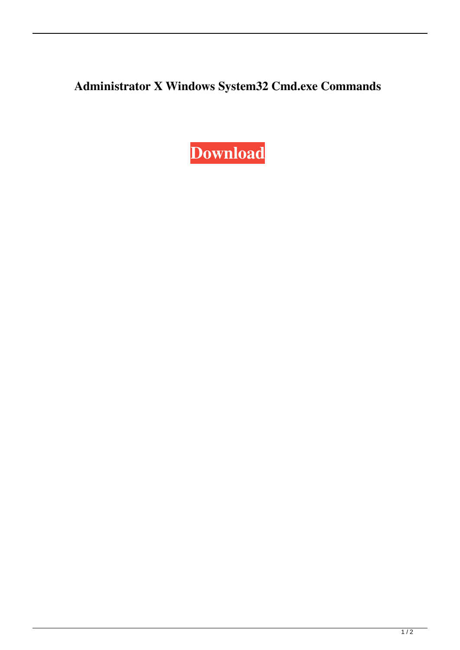**Administrator X Windows System32 Cmd.exe Commands**